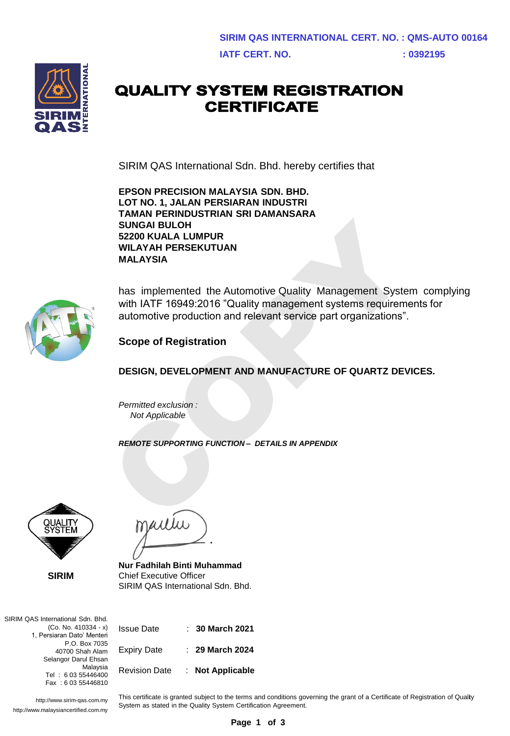

## **QUALITY SYSTEM REGISTRATION CERTIFICATE**

SIRIM QAS International Sdn. Bhd. hereby certifies that

**EPSON PRECISION MALAYSIA SDN. BHD. LOT NO. 1, JALAN PERSIARAN INDUSTRI TAMAN PERINDUSTRIAN SRI DAMANSARA SUNGAI BULOH 52200 KUALA LUMPUR WILAYAH PERSEKUTUAN MALAYSIA**



has implemented the Automotive Quality Management System complying with IATF 16949:2016 "Quality management systems requirements for automotive production and relevant service part organizations". SUNGAI BULOH<br>
S2200 KUALA LUMPUR<br>
WILAYAH PERSEKUTUAN<br>
MALAYSIA<br>
has implemented the Automotive Quality Management System<br>
with IATF 16949:2016 "Quality management systems requireme<br>
automotive production and relevant serv

**Scope of Registration**

**DESIGN, DEVELOPMENT AND MANUFACTURE OF QUARTZ DEVICES.**

*Permitted exclusion : Not Applicable* 

*REMOTE SUPPORTING FUNCTION – DETAILS IN APPENDIX*



**SIRIM**



**Nur Fadhilah Binti Muhammad**  Chief Executive Officer SIRIM QAS International Sdn. Bhd.

SIRIM QAS International Sdn. Bhd. (Co. No. 410334 - x) 1, Persiaran Dato' Menteri P.O. Box 7035 40700 Shah Alam Selangor Darul Ehsan Malaysia Tel : 6 03 55446400 Fax : 6 03 55446810

Issue Date : **30 March 2021** Expiry Date : **29 March 2024** Revision Date : **Not Applicable**

http://www.sirim-qas.com.my http://www.malaysiancertified.com.my This certificate is granted subject to the terms and conditions governing the grant of a Certificate of Registration of Quality System as stated in the Quality System Certification Agreement.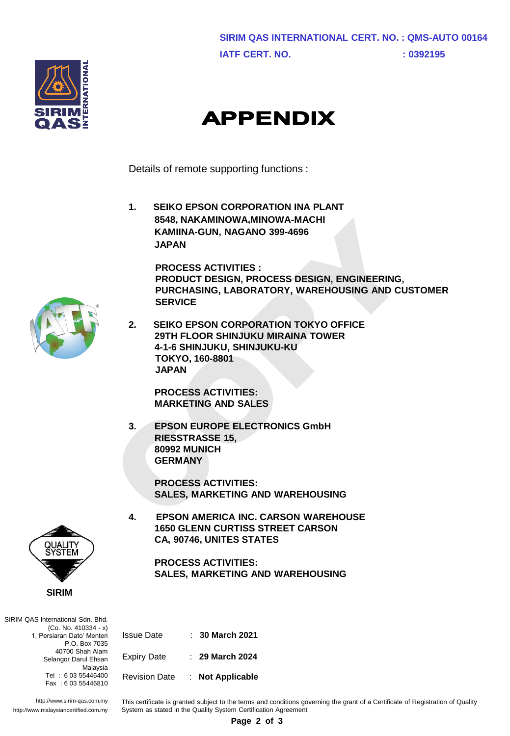



## **APPENDIX**

Details of remote supporting functions :

**1. SEIKO EPSON CORPORATION INA PLANT 8548, NAKAMINOWA,MINOWA-MACHI KAMIINA-GUN, NAGANO 399-4696 JAPAN**

> **PROCESS ACTIVITIES : PRODUCT DESIGN, PROCESS DESIGN, ENGINEERING, PURCHASING, LABORATORY, WAREHOUSING AND CUSTOMER SERVICE**

**2. SEIKO EPSON CORPORATION TOKYO OFFICE 29TH FLOOR SHINJUKU MIRAINA TOWER 4-1-6 SHINJUKU, SHINJUKU-KU TOKYO, 160-8801 JAPAN** 8548, NAKAMINOWA,MINOWA-MACHI<br>
KAMINA-GUN, NAGANO 399-4696<br>
JAPAN<br>
PROCESS ACTIVITIES :<br>
PRODUCT DESIGN, PROCESS DESIGN, ENGINEERING,<br>
PURCHASING, LABORATORY, WAREHOUSING AND CUS<br>
SERVICE<br>
2. SEIKO EPSON CORPORATION TOKYO

**PROCESS ACTIVITIES: MARKETING AND SALES**

**3. EPSON EUROPE ELECTRONICS GmbH RIESSTRASSE 15, 80992 MUNICH GERMANY**

> **PROCESS ACTIVITIES: SALES, MARKETING AND WAREHOUSING**

**4. EPSON AMERICA INC. CARSON WAREHOUSE 1650 GLENN CURTISS STREET CARSON CA, 90746, UNITES STATES**

> **PROCESS ACTIVITIES: SALES, MARKETING AND WAREHOUSING**

SIRIM QAS International Sdn. Bhd. (Co. No. 410334 - x) P.O. Box 7035 Selangor Darul Ehsan Fax : 6 03 55446810

**SIRIM**

1, Persiaran Dato' Menteri 40700 Shah Alam Malaysia Tel : 6 03 55446400

Issue Date : **30 March 2021** Expiry Date : **29 March 2024** Revision Date : **Not Applicable**

System as stated in the Quality System Certification Agreement

http://www.sirim-qas.com.my http://www.malaysiancertified.com.my This certificate is granted subject to the terms and conditions governing the grant of a Certificate of Registration of Quality